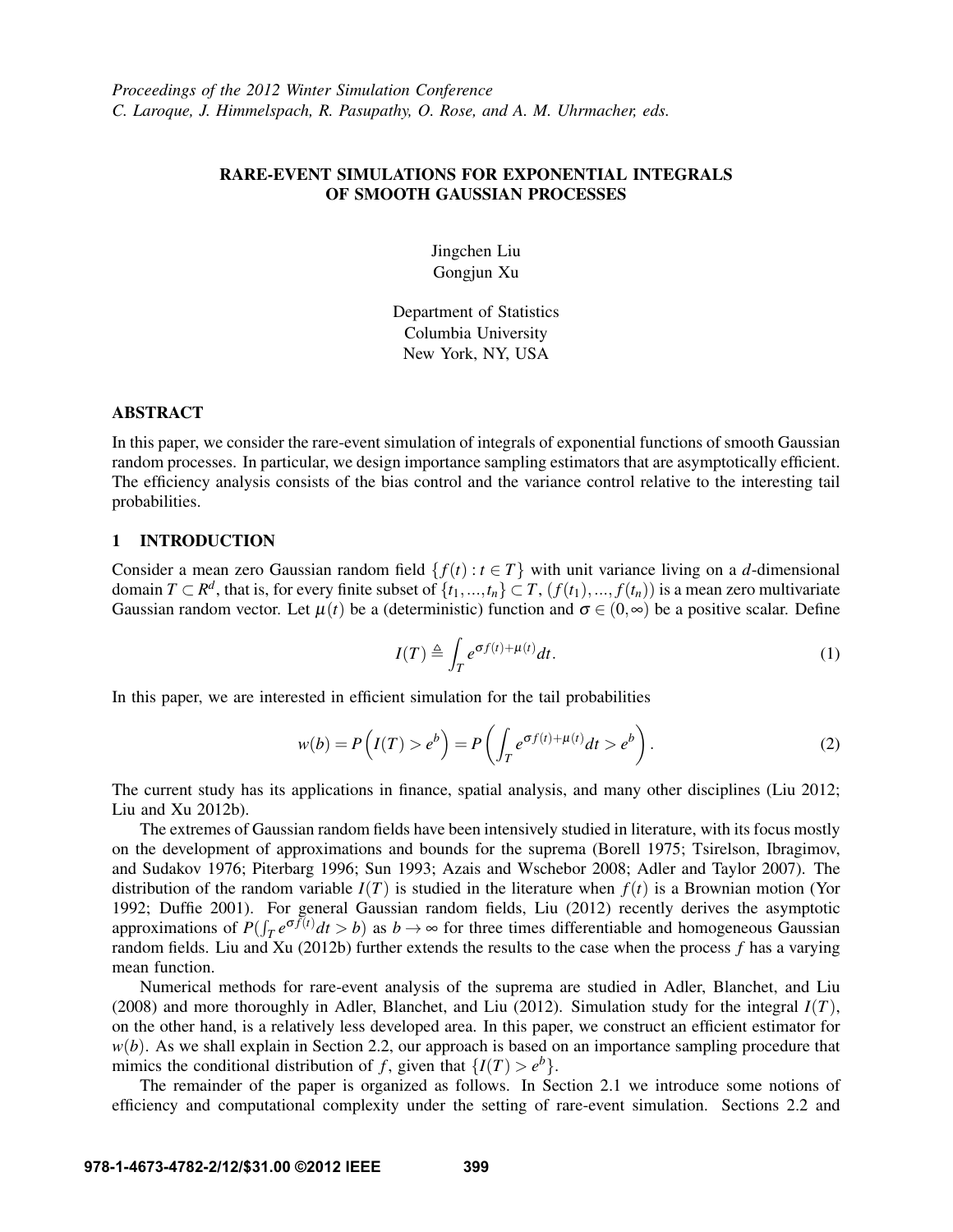# RARE-EVENT SIMULATIONS FOR EXPONENTIAL INTEGRALS OF SMOOTH GAUSSIAN PROCESSES

Jingchen Liu Gongjun Xu

Department of Statistics Columbia University New York, NY, USA

#### ABSTRACT

In this paper, we consider the rare-event simulation of integrals of exponential functions of smooth Gaussian random processes. In particular, we design importance sampling estimators that are asymptotically efficient. The efficiency analysis consists of the bias control and the variance control relative to the interesting tail probabilities.

### 1 INTRODUCTION

Consider a mean zero Gaussian random field  $\{f(t): t \in T\}$  with unit variance living on a *d*-dimensional domain  $T \subset \mathbb{R}^d$ , that is, for every finite subset of  $\{t_1,...,t_n\} \subset T$ ,  $(f(t_1),...,f(t_n))$  is a mean zero multivariate Gaussian random vector. Let  $\mu(t)$  be a (deterministic) function and  $\sigma \in (0,\infty)$  be a positive scalar. Define

$$
I(T) \triangleq \int_{T} e^{\sigma f(t) + \mu(t)} dt.
$$
 (1)

In this paper, we are interested in efficient simulation for the tail probabilities

$$
w(b) = P\left(I(T) > e^b\right) = P\left(\int_T e^{\sigma f(t) + \mu(t)} dt > e^b\right). \tag{2}
$$

The current study has its applications in finance, spatial analysis, and many other disciplines (Liu 2012; Liu and Xu 2012b).

The extremes of Gaussian random fields have been intensively studied in literature, with its focus mostly on the development of approximations and bounds for the suprema (Borell 1975; Tsirelson, Ibragimov, and Sudakov 1976; Piterbarg 1996; Sun 1993; Azais and Wschebor 2008; Adler and Taylor 2007). The distribution of the random variable  $I(T)$  is studied in the literature when  $f(t)$  is a Brownian motion (Yor 1992; Duffie 2001). For general Gaussian random fields, Liu (2012) recently derives the asymptotic approximations of  $P(\int_T e^{\sigma f(t)} dt > b)$  as  $b \to \infty$  for three times differentiable and homogeneous Gaussian random fields. Liu and Xu (2012b) further extends the results to the case when the process *f* has a varying mean function.

Numerical methods for rare-event analysis of the suprema are studied in Adler, Blanchet, and Liu (2008) and more thoroughly in Adler, Blanchet, and Liu (2012). Simulation study for the integral *I*(*T*), on the other hand, is a relatively less developed area. In this paper, we construct an efficient estimator for  $w(b)$ . As we shall explain in Section 2.2, our approach is based on an importance sampling procedure that mimics the conditional distribution of *f*, given that  $\{I(T) > e^b\}$ .

The remainder of the paper is organized as follows. In Section 2.1 we introduce some notions of efficiency and computational complexity under the setting of rare-event simulation. Sections 2.2 and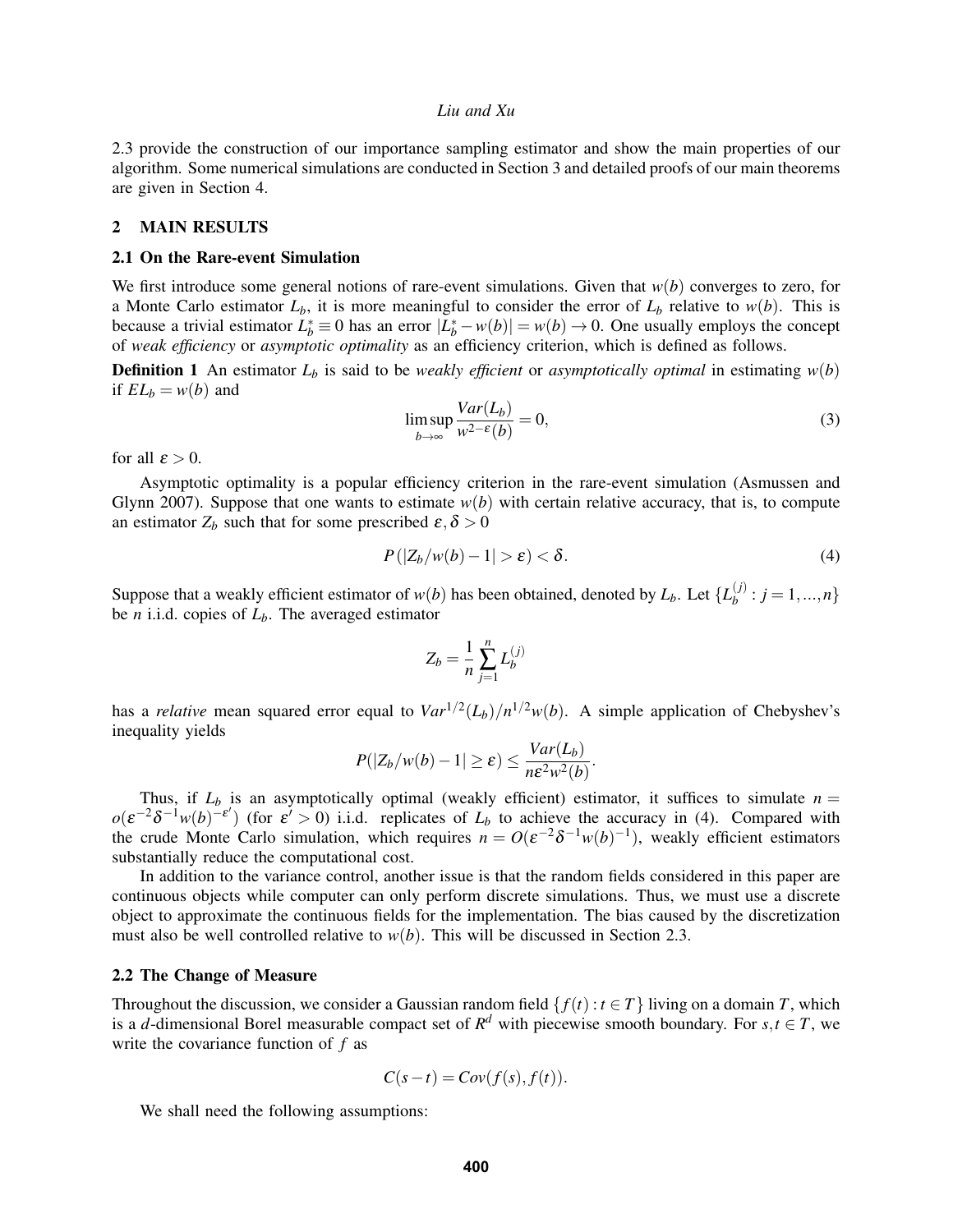2.3 provide the construction of our importance sampling estimator and show the main properties of our algorithm. Some numerical simulations are conducted in Section 3 and detailed proofs of our main theorems are given in Section 4.

### 2 MAIN RESULTS

#### 2.1 On the Rare-event Simulation

We first introduce some general notions of rare-event simulations. Given that *w*(*b*) converges to zero, for a Monte Carlo estimator  $L_b$ , it is more meaningful to consider the error of  $L_b$  relative to  $w(b)$ . This is because a trivial estimator  $L_b^* = 0$  has an error  $|L_b^* - w(b)| = w(b) \to 0$ . One usually employs the concept of *weak efficiency* or *asymptotic optimality* as an efficiency criterion, which is defined as follows.

**Definition 1** An estimator  $L_b$  is said to be *weakly efficient* or *asymptotically optimal* in estimating  $w(b)$ if  $EL_b = w(b)$  and

$$
\limsup_{b \to \infty} \frac{Var(L_b)}{w^{2-\epsilon}(b)} = 0,
$$
\n(3)

for all  $\varepsilon > 0$ .

Asymptotic optimality is a popular efficiency criterion in the rare-event simulation (Asmussen and Glynn 2007). Suppose that one wants to estimate  $w(b)$  with certain relative accuracy, that is, to compute an estimator  $Z_b$  such that for some prescribed  $\varepsilon, \delta > 0$ 

$$
P(|Z_b/w(b) - 1| > \varepsilon) < \delta. \tag{4}
$$

.

Suppose that a weakly efficient estimator of  $w(b)$  has been obtained, denoted by  $L_b$ . Let  $\{L_b^{(j)}\}$  $b^{(j)}$ :  $j = 1, ..., n$ be *n* i.i.d. copies of *Lb*. The averaged estimator

$$
Z_b = \frac{1}{n} \sum_{j=1}^n L_b^{(j)}
$$

has a *relative* mean squared error equal to  $Var^{1/2}(L_b)/n^{1/2}w(b)$ . A simple application of Chebyshev's inequality yields

$$
P(|Z_b/w(b) - 1| \ge \varepsilon) \le \frac{Var(L_b)}{n\varepsilon^2 w^2(b)}
$$

Thus, if  $L_b$  is an asymptotically optimal (weakly efficient) estimator, it suffices to simulate  $n =$  $o(\varepsilon^{-2}\delta^{-1}w(b)^{-\varepsilon})$  (for  $\varepsilon' > 0$ ) i.i.d. replicates of  $L_b$  to achieve the accuracy in (4). Compared with the crude Monte Carlo simulation, which requires  $n = O(\varepsilon^{-2} \delta^{-1} w(b)^{-1})$ , weakly efficient estimators substantially reduce the computational cost.

In addition to the variance control, another issue is that the random fields considered in this paper are continuous objects while computer can only perform discrete simulations. Thus, we must use a discrete object to approximate the continuous fields for the implementation. The bias caused by the discretization must also be well controlled relative to  $w(b)$ . This will be discussed in Section 2.3.

### 2.2 The Change of Measure

Throughout the discussion, we consider a Gaussian random field  $\{f(t) : t \in T\}$  living on a domain *T*, which is a *d*-dimensional Borel measurable compact set of  $R^d$  with piecewise smooth boundary. For  $s, t \in T$ , we write the covariance function of *f* as

$$
C(s-t) = Cov(f(s), f(t)).
$$

We shall need the following assumptions: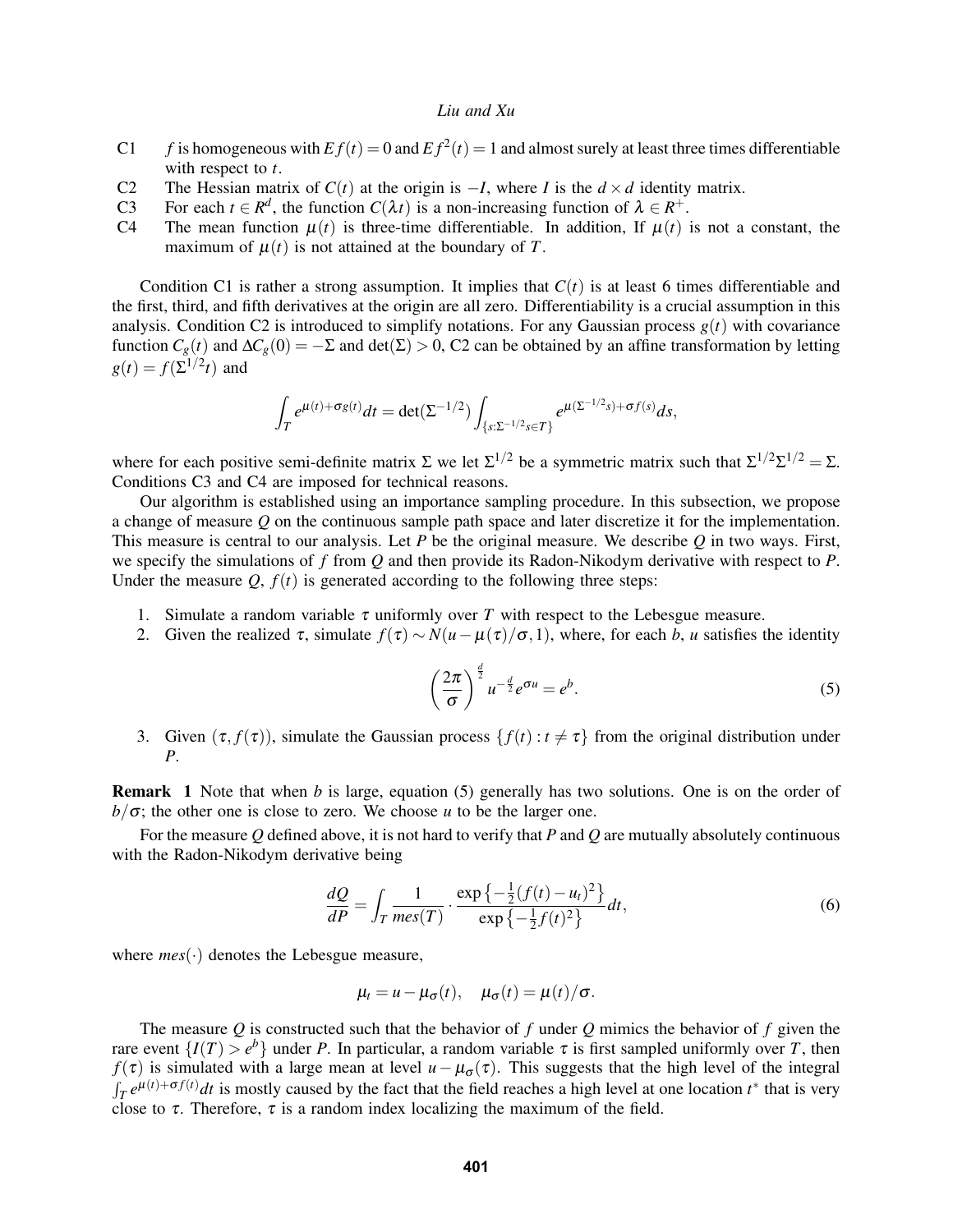- C1 *f* is homogeneous with  $Ef(t) = 0$  and  $Ef^2(t) = 1$  and almost surely at least three times differentiable with respect to *t*.
- C2 The Hessian matrix of *C*(*t*) at the origin is  $-I$ , where *I* is the  $d \times d$  identity matrix.<br>C3 For each  $t \in R^d$ , the function  $C(\lambda t)$  is a non-increasing function of  $\lambda \in R^+$ .
- C3 For each  $t \in R^d$ , the function  $C(\lambda t)$  is a non-increasing function of  $\lambda \in R^+$ .
- C4 The mean function  $\mu(t)$  is three-time differentiable. In addition, If  $\mu(t)$  is not a constant, the maximum of  $\mu(t)$  is not attained at the boundary of *T*.

Condition C1 is rather a strong assumption. It implies that  $C(t)$  is at least 6 times differentiable and the first, third, and fifth derivatives at the origin are all zero. Differentiability is a crucial assumption in this analysis. Condition C2 is introduced to simplify notations. For any Gaussian process  $g(t)$  with covariance function  $C_g(t)$  and  $\Delta C_g(0) = -\Sigma$  and  $\det(\Sigma) > 0$ , C2 can be obtained by an affine transformation by letting  $g(t) = f(\Sigma^{1/2}t)$  and

$$
\int_T e^{\mu(t)+\sigma g(t)}dt = \det(\Sigma^{-1/2}) \int_{\{s:\Sigma^{-1/2} s \in T\}} e^{\mu(\Sigma^{-1/2} s) + \sigma f(s)}ds,
$$

where for each positive semi-definite matrix  $\Sigma$  we let  $\Sigma^{1/2}$  be a symmetric matrix such that  $\Sigma^{1/2}\Sigma^{1/2} = \Sigma$ . Conditions C3 and C4 are imposed for technical reasons.

Our algorithm is established using an importance sampling procedure. In this subsection, we propose a change of measure *Q* on the continuous sample path space and later discretize it for the implementation. This measure is central to our analysis. Let *P* be the original measure. We describe *Q* in two ways. First, we specify the simulations of *f* from *Q* and then provide its Radon-Nikodym derivative with respect to *P*. Under the measure  $Q$ ,  $f(t)$  is generated according to the following three steps:

- 1. Simulate a random variable  $\tau$  uniformly over  $T$  with respect to the Lebesgue measure.
- 2. Given the realized τ, simulate  $f(τ) \sim N(u \mu(τ)/σ,1)$ , where, for each *b*, *u* satisfies the identity

$$
\left(\frac{2\pi}{\sigma}\right)^{\frac{d}{2}}u^{-\frac{d}{2}}e^{\sigma u}=e^{b}.
$$
\n(5)

3. Given  $(\tau, f(\tau))$ , simulate the Gaussian process  $\{f(t) : t \neq \tau\}$  from the original distribution under *P*.

Remark 1 Note that when *b* is large, equation (5) generally has two solutions. One is on the order of  $b/\sigma$ ; the other one is close to zero. We choose *u* to be the larger one.

For the measure *Q* defined above, it is not hard to verify that *P* and *Q* are mutually absolutely continuous with the Radon-Nikodym derivative being

$$
\frac{dQ}{dP} = \int_{T} \frac{1}{mes(T)} \cdot \frac{\exp\left\{-\frac{1}{2}(f(t) - u_t)^2\right\}}{\exp\left\{-\frac{1}{2}f(t)^2\right\}} dt,
$$
\n(6)

where *mes*(·) denotes the Lebesgue measure,

$$
\mu_t = u - \mu_\sigma(t), \quad \mu_\sigma(t) = \mu(t)/\sigma.
$$

The measure *Q* is constructed such that the behavior of *f* under *Q* mimics the behavior of *f* given the rare event  $\{I(T) > e^b\}$  under *P*. In particular, a random variable  $\tau$  is first sampled uniformly over *T*, then *f*(τ) is simulated with a large mean at level  $u - \mu_{\sigma}(\tau)$ . This suggests that the high level of the integral  $\int_T e^{\mu(t)+\sigma f(t)}dt$  is mostly caused by the fact that the field reaches a high level at one location  $t^*$  that is very close to  $\tau$ . Therefore,  $\tau$  is a random index localizing the maximum of the field.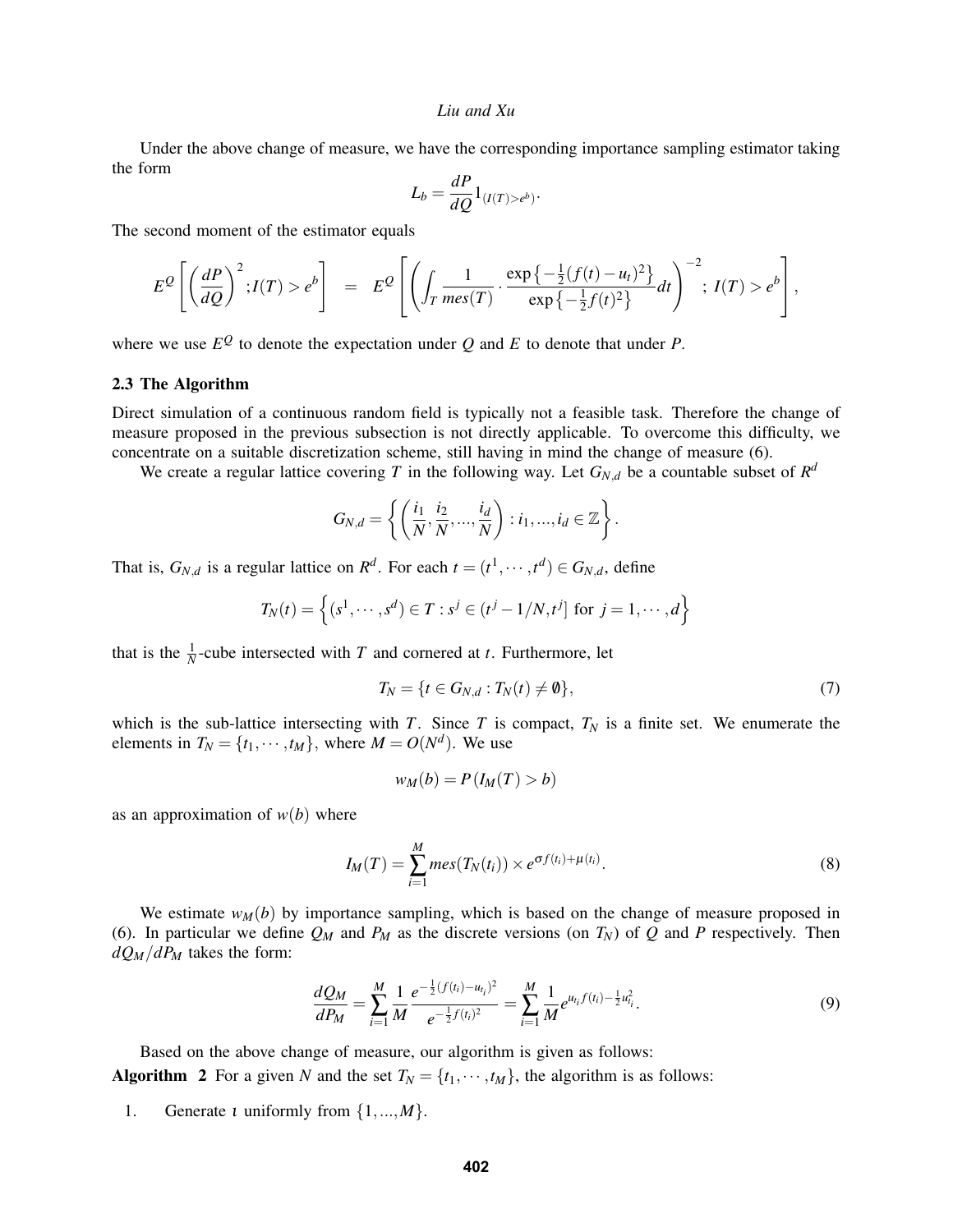Under the above change of measure, we have the corresponding importance sampling estimator taking the form

$$
L_b = \frac{dP}{dQ} 1_{(I(T) > e^b)}
$$

.

The second moment of the estimator equals

$$
E^{\mathcal{Q}}\left[\left(\frac{dP}{dQ}\right)^2; I(T) > e^b\right] = E^{\mathcal{Q}}\left[\left(\int_T \frac{1}{\text{mes}(T)} \cdot \frac{\exp\left\{-\frac{1}{2}(f(t) - u_t)^2\right\}}{\exp\left\{-\frac{1}{2}f(t)^2\right\}} dt\right)^{-2}; I(T) > e^b\right],
$$

where we use  $E^Q$  to denote the expectation under  $Q$  and  $E$  to denote that under  $P$ .

### 2.3 The Algorithm

Direct simulation of a continuous random field is typically not a feasible task. Therefore the change of measure proposed in the previous subsection is not directly applicable. To overcome this difficulty, we concentrate on a suitable discretization scheme, still having in mind the change of measure (6).

We create a regular lattice covering *T* in the following way. Let  $G_{N,d}$  be a countable subset of  $R^d$ 

$$
G_{N,d} = \left\{ \left( \frac{i_1}{N}, \frac{i_2}{N}, \dots, \frac{i_d}{N} \right) : i_1, \dots, i_d \in \mathbb{Z} \right\}.
$$

That is,  $G_{N,d}$  is a regular lattice on  $R^d$ . For each  $t = (t^1, \dots, t^d) \in G_{N,d}$ , define

$$
T_N(t) = \left\{ (s^1, \dots, s^d) \in T : s^j \in (t^j - 1/N, t^j] \text{ for } j = 1, \dots, d \right\}
$$

that is the  $\frac{1}{N}$ -cube intersected with *T* and cornered at *t*. Furthermore, let

$$
T_N = \{t \in G_{N,d} : T_N(t) \neq \emptyset\},\tag{7}
$$

which is the sub-lattice intersecting with *T*. Since *T* is compact,  $T_N$  is a finite set. We enumerate the elements in  $T_N = \{t_1, \dots, t_M\}$ , where  $M = O(N^d)$ . We use

$$
w_M(b) = P(I_M(T) > b)
$$

as an approximation of  $w(b)$  where

$$
I_M(T) = \sum_{i=1}^M mes(T_N(t_i)) \times e^{\sigma f(t_i) + \mu(t_i)}.
$$
\n(8)

We estimate  $w_M(b)$  by importance sampling, which is based on the change of measure proposed in (6). In particular we define  $Q_M$  and  $P_M$  as the discrete versions (on  $T_N$ ) of  $Q$  and  $P$  respectively. Then  $dQ_M/dP_M$  takes the form:

$$
\frac{dQ_M}{dP_M} = \sum_{i=1}^M \frac{1}{M} \frac{e^{-\frac{1}{2}(f(t_i) - u_{t_i})^2}}{e^{-\frac{1}{2}f(t_i)^2}} = \sum_{i=1}^M \frac{1}{M} e^{u_{t_i}f(t_i) - \frac{1}{2}u_{t_i}^2}.
$$
\n(9)

Based on the above change of measure, our algorithm is given as follows: Algorithm 2 For a given *N* and the set  $T_N = \{t_1, \dots, t_M\}$ , the algorithm is as follows:

1. Generate ι uniformly from {1,...,*M*}.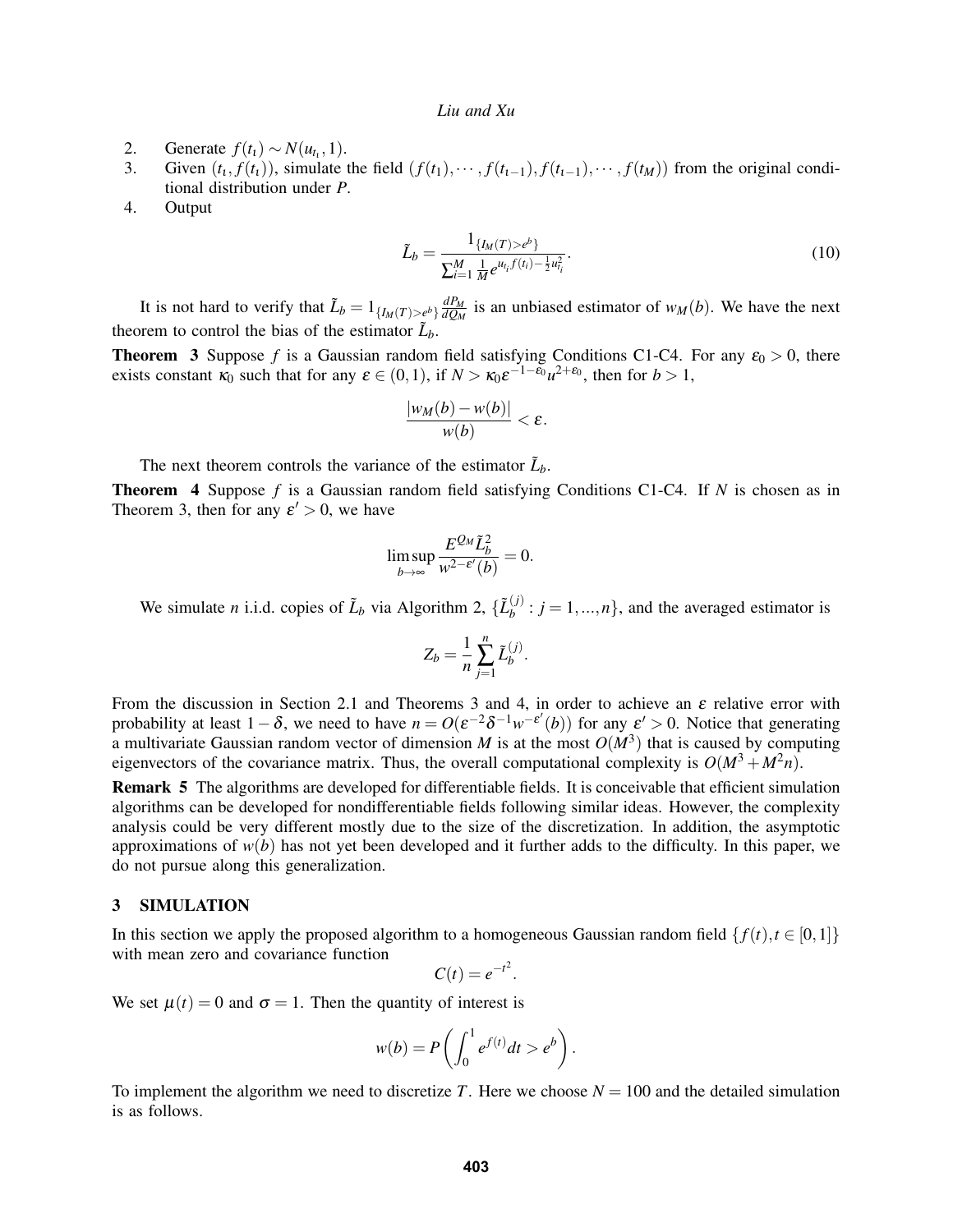- 2. Generate  $f(t_1) \sim N(u_{t_1}, 1)$ .
- 3. Given  $(t_1, f(t_1))$ , simulate the field  $(f(t_1), \dots, f(t_{t-1}), f(t_{t-1}), \dots, f(t_M))$  from the original conditional distribution under *P*.
- 4. Output

$$
\tilde{L}_b = \frac{1_{\{I_M(T) > e^b\}}}{\sum_{i=1}^M \frac{1}{M} e^{u_{t_i} f(t_i) - \frac{1}{2} u_{t_i}^2}}.
$$
\n(10)

It is not hard to verify that  $\tilde{L}_b = 1_{\{I_M(T) > e^b\}} \frac{dP_M}{dQ_M}$  $\frac{dP_M}{dQ_M}$  is an unbiased estimator of  $w_M(b)$ . We have the next theorem to control the bias of the estimator  $\tilde{L}_b$ .

**Theorem 3** Suppose *f* is a Gaussian random field satisfying Conditions C1-C4. For any  $\varepsilon_0 > 0$ , there exists constant  $\kappa_0$  such that for any  $\varepsilon \in (0,1)$ , if  $N > \kappa_0 \varepsilon^{-1-\varepsilon_0} u^{2+\varepsilon_0}$ , then for  $b > 1$ ,

$$
\frac{|w_M(b)-w(b)|}{w(b)}<\varepsilon.
$$

The next theorem controls the variance of the estimator  $\tilde{L}_b$ .

Theorem 4 Suppose *f* is a Gaussian random field satisfying Conditions C1-C4. If *N* is chosen as in Theorem 3, then for any  $\varepsilon' > 0$ , we have

$$
\limsup_{b \to \infty} \frac{E^{\mathcal{Q}_M} \tilde{L}_b^2}{w^{2-\varepsilon'}(b)} = 0.
$$

We simulate *n* i.i.d. copies of  $\tilde{L}_b$  via Algorithm 2,  $\{\tilde{L}_b^{(j)}\}$  $b_i^{(j)}$ :  $j = 1, ..., n$ , and the averaged estimator is

$$
Z_b = \frac{1}{n} \sum_{j=1}^n \tilde{L}_b^{(j)}.
$$

From the discussion in Section 2.1 and Theorems 3 and 4, in order to achieve an  $\varepsilon$  relative error with probability at least  $1-\delta$ , we need to have  $n = O(\varepsilon^{-2} \delta^{-1} w^{-\varepsilon'}(b))$  for any  $\varepsilon' > 0$ . Notice that generating a multivariate Gaussian random vector of dimension *M* is at the most  $O(M^3)$  that is caused by computing eigenvectors of the covariance matrix. Thus, the overall computational complexity is  $O(M^3 + M^2n)$ .

Remark 5 The algorithms are developed for differentiable fields. It is conceivable that efficient simulation algorithms can be developed for nondifferentiable fields following similar ideas. However, the complexity analysis could be very different mostly due to the size of the discretization. In addition, the asymptotic approximations of  $w(b)$  has not yet been developed and it further adds to the difficulty. In this paper, we do not pursue along this generalization.

#### 3 SIMULATION

In this section we apply the proposed algorithm to a homogeneous Gaussian random field  $\{f(t), t \in [0,1]\}$ with mean zero and covariance function

$$
C(t) = e^{-t^2}.
$$

We set  $\mu(t) = 0$  and  $\sigma = 1$ . Then the quantity of interest is

$$
w(b) = P\left(\int_0^1 e^{f(t)}dt > e^b\right).
$$

To implement the algorithm we need to discretize T. Here we choose  $N = 100$  and the detailed simulation is as follows.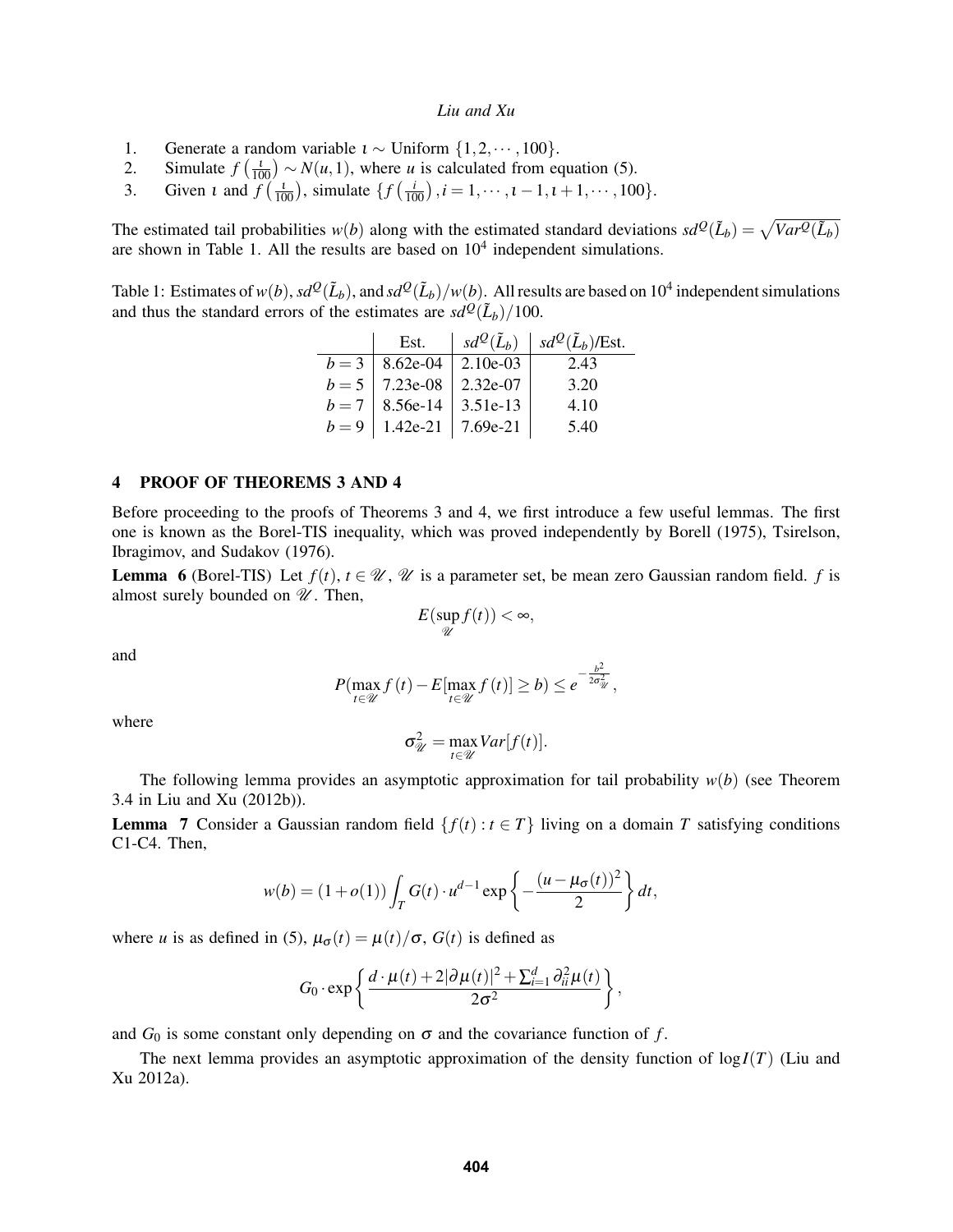- 1. Generate a random variable  $\iota \sim$  Uniform  $\{1, 2, \dots, 100\}$ .
- 2. Simulate  $f\left(\frac{1}{100}\right) \sim N(u, 1)$ , where *u* is calculated from equation (5).
- 3. Given *t* and  $f\left(\frac{t}{100}\right)$ , simulate  $\{f\left(\frac{i}{100}\right), i = 1, \dots, t-1, t+1, \dots, 100\}$ .

The estimated tail probabilities  $w(b)$  along with the estimated standard deviations  $sd^Q(\tilde{L}_b) = \sqrt{Var^Q(\tilde{L}_b)}$ are shown in Table 1. All the results are based on  $10<sup>4</sup>$  independent simulations.

Table 1: Estimates of  $w(b)$ ,  $sd^Q(\tilde{L}_b)$ , and  $sd^Q(\tilde{L}_b)/w(b)$ . All results are based on  $10^4$  independent simulations and thus the standard errors of the estimates are  $sd^{\mathcal{Q}}(\tilde{L}_b)/100$ .

|       | Est.                          |            | $sd^{\mathcal{Q}}(\tilde{L}_b)$   $sd^{\mathcal{Q}}(\tilde{L}_b)$ /Est. |
|-------|-------------------------------|------------|-------------------------------------------------------------------------|
|       | $b = 3$   8.62e-04            | $2.10e-03$ | 2.43                                                                    |
|       | $b = 5$   7.23e-08   2.32e-07 |            | 3.20                                                                    |
|       | $b = 7$   8.56e-14   3.51e-13 |            | 4.10                                                                    |
| $b=9$ | $1.42e-21$   7.69e-21         |            | 5.40                                                                    |

### 4 PROOF OF THEOREMS 3 AND 4

Before proceeding to the proofs of Theorems 3 and 4, we first introduce a few useful lemmas. The first one is known as the Borel-TIS inequality, which was proved independently by Borell (1975), Tsirelson, Ibragimov, and Sudakov (1976).

**Lemma 6** (Borel-TIS) Let  $f(t)$ ,  $t \in \mathcal{U}$ ,  $\mathcal{U}$  is a parameter set, be mean zero Gaussian random field. *f* is almost surely bounded on  $\mathcal{U}$ . Then,

$$
E(\sup_{\mathscr{U}}f(t)) < \infty,
$$

and

$$
P(\max_{t \in \mathcal{U}} f(t) - E[\max_{t \in \mathcal{U}} f(t)] \ge b) \le e^{-\frac{b^2}{2\sigma_{\mathcal{U}}^2}},
$$

where

$$
\sigma_{\mathscr{U}}^2 = \max_{t \in \mathscr{U}} Var[f(t)].
$$

The following lemma provides an asymptotic approximation for tail probability *w*(*b*) (see Theorem 3.4 in Liu and Xu (2012b)).

**Lemma** 7 Consider a Gaussian random field  $\{f(t): t \in T\}$  living on a domain *T* satisfying conditions C1-C4. Then,

$$
w(b) = (1+o(1))\int_T G(t) \cdot u^{d-1} \exp\left\{-\frac{(u-\mu_{\sigma}(t))^2}{2}\right\} dt,
$$

where *u* is as defined in (5),  $\mu_{\sigma}(t) = \mu(t)/\sigma$ ,  $G(t)$  is defined as

$$
G_0 \cdot \exp\left\{\frac{d \cdot \mu(t) + 2|\partial \mu(t)|^2 + \sum_{i=1}^d \partial_{ii}^2 \mu(t)}{2\sigma^2}\right\},\,
$$

and  $G_0$  is some constant only depending on  $\sigma$  and the covariance function of *f*.

The next lemma provides an asymptotic approximation of the density function of  $log I(T)$  (Liu and Xu 2012a).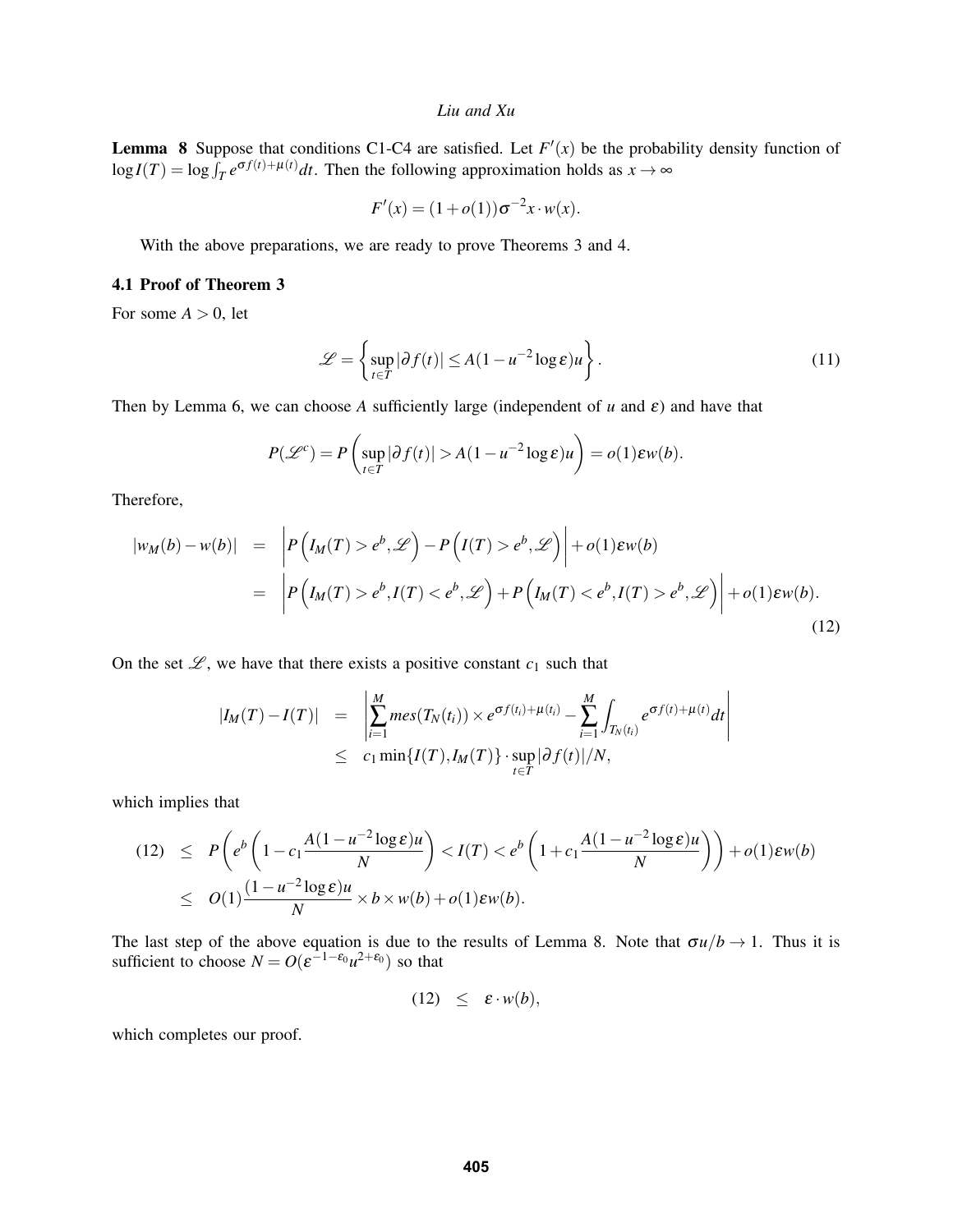**Lemma 8** Suppose that conditions C1-C4 are satisfied. Let  $F'(x)$  be the probability density function of  $\log I(T) = \log \int_T e^{\sigma f(t) + \mu(t)} dt$ . Then the following approximation holds as  $x \to \infty$ 

$$
F'(x) = (1 + o(1))\sigma^{-2}x \cdot w(x).
$$

With the above preparations, we are ready to prove Theorems 3 and 4.

### 4.1 Proof of Theorem 3

For some  $A > 0$ , let

$$
\mathcal{L} = \left\{ \sup_{t \in T} |\partial f(t)| \le A (1 - u^{-2} \log \varepsilon) u \right\}.
$$
 (11)

Then by Lemma 6, we can choose *A* sufficiently large (independent of  $u$  and  $\varepsilon$ ) and have that

$$
P(\mathscr{L}^c) = P\left(\sup_{t \in T} |\partial f(t)| > A(1 - u^{-2} \log \varepsilon)u\right) = o(1)\varepsilon w(b).
$$

Therefore,

$$
\begin{aligned} |w_M(b) - w(b)| &= \left| P\left(I_M(T) > e^b, \mathcal{L}\right) - P\left(I(T) > e^b, \mathcal{L}\right) \right| + o(1)\varepsilon w(b) \\ &= \left| P\left(I_M(T) > e^b, I(T) < e^b, \mathcal{L}\right) + P\left(I_M(T) < e^b, I(T) > e^b, \mathcal{L}\right) \right| + o(1)\varepsilon w(b). \end{aligned} \tag{12}
$$

On the set  $\mathscr{L}$ , we have that there exists a positive constant  $c_1$  such that

$$
|I_M(T) - I(T)| = \left| \sum_{i=1}^M mes(T_N(t_i)) \times e^{\sigma f(t_i) + \mu(t_i)} - \sum_{i=1}^M \int_{T_N(t_i)} e^{\sigma f(t) + \mu(t)} dt \right|
$$
  
  $\leq c_1 \min\{I(T), I_M(T)\} \cdot \sup_{t \in T} |\partial f(t)|/N,$ 

which implies that

$$
(12) \le P\left(e^b\left(1-c_1\frac{A(1-u^{-2}\log \varepsilon)u}{N}\right) < I(T) < e^b\left(1+c_1\frac{A(1-u^{-2}\log \varepsilon)u}{N}\right)\right) + o(1)\varepsilon w(b) \le O(1)\frac{(1-u^{-2}\log \varepsilon)u}{N} \times b \times w(b) + o(1)\varepsilon w(b).
$$

The last step of the above equation is due to the results of Lemma 8. Note that  $\sigma u/b \to 1$ . Thus it is sufficient to choose  $N = O(\varepsilon^{-1-\varepsilon_0}u^{2+\varepsilon_0})$  so that

(12)  $\leq \varepsilon \cdot w(b)$ ,

which completes our proof.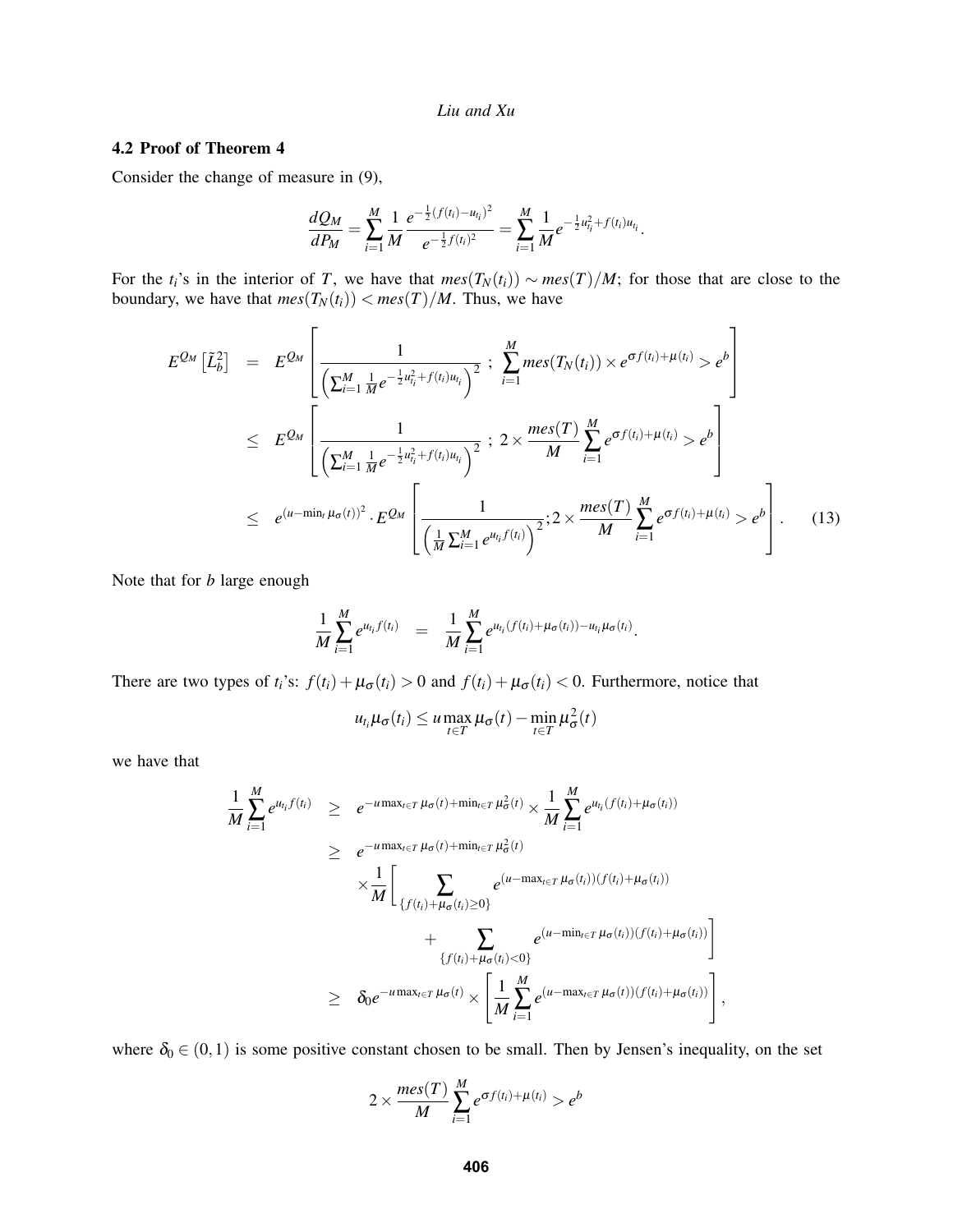### 4.2 Proof of Theorem 4

Consider the change of measure in (9),

$$
\frac{dQ_M}{dP_M} = \sum_{i=1}^M \frac{1}{M} \frac{e^{-\frac{1}{2}(f(t_i) - u_{t_i})^2}}{e^{-\frac{1}{2}f(t_i)^2}} = \sum_{i=1}^M \frac{1}{M} e^{-\frac{1}{2}u_{t_i}^2 + f(t_i)u_{t_i}}.
$$

For the  $t_i$ 's in the interior of *T*, we have that  $mes(T_N(t_i)) \sim mes(T)/M$ ; for those that are close to the boundary, we have that  $mes(T_N(t_i)) < mes(T)/M$ . Thus, we have

$$
E^{Q_{M}}\left[\tilde{L}_{b}^{2}\right] = E^{Q_{M}}\left[\frac{1}{\left(\sum_{i=1}^{M}\frac{1}{M}e^{-\frac{1}{2}u_{i_{i}}^{2}+f(t_{i})u_{i_{i}}}\right)^{2}};\sum_{i=1}^{M}mes(T_{N}(t_{i})) \times e^{\sigma f(t_{i})+\mu(t_{i})} > e^{b}\right]
$$
  
\n
$$
\leq E^{Q_{M}}\left[\frac{1}{\left(\sum_{i=1}^{M}\frac{1}{M}e^{-\frac{1}{2}u_{i_{i}}^{2}+f(t_{i})u_{i_{i}}}\right)^{2}};\sum_{i=1}^{M}\frac{mes(T)}{M}\sum_{i=1}^{M}e^{\sigma f(t_{i})+\mu(t_{i})} > e^{b}\right]
$$
  
\n
$$
\leq e^{(u-\min_{t}\mu_{\sigma}(t))^{2}}\cdot E^{Q_{M}}\left[\frac{1}{\left(\frac{1}{M}\sum_{i=1}^{M}e^{u_{i_{i}}f(t_{i})}\right)^{2}};2\times\frac{mes(T)}{M}\sum_{i=1}^{M}e^{\sigma f(t_{i})+\mu(t_{i})} > e^{b}\right].
$$
 (13)

Note that for *b* large enough

$$
\frac{1}{M}\sum_{i=1}^M e^{u_{t_i}f(t_i)} = \frac{1}{M}\sum_{i=1}^M e^{u_{t_i}(f(t_i)+\mu_{\sigma}(t_i))-u_{t_i}\mu_{\sigma}(t_i)}.
$$

There are two types of  $t_i$ 's:  $f(t_i) + \mu_{\sigma}(t_i) > 0$  and  $f(t_i) + \mu_{\sigma}(t_i) < 0$ . Furthermore, notice that

$$
u_{t_i}\mu_{\sigma}(t_i) \le u \max_{t \in T} \mu_{\sigma}(t) - \min_{t \in T} \mu_{\sigma}^2(t)
$$

we have that

$$
\frac{1}{M} \sum_{i=1}^{M} e^{u_{t_i} f(t_i)} \geq e^{-u \max_{t \in T} \mu_{\sigma}(t) + \min_{t \in T} \mu_{\sigma}^2(t)} \times \frac{1}{M} \sum_{i=1}^{M} e^{u_{t_i} (f(t_i) + \mu_{\sigma}(t_i))}
$$
\n
$$
\geq e^{-u \max_{t \in T} \mu_{\sigma}(t) + \min_{t \in T} \mu_{\sigma}^2(t)}
$$
\n
$$
\times \frac{1}{M} \Bigg[ \sum_{\{f(t_i) + \mu_{\sigma}(t_i) \geq 0\}} e^{(u - \max_{t \in T} \mu_{\sigma}(t_i))(f(t_i) + \mu_{\sigma}(t_i))}
$$
\n
$$
+ \sum_{\{f(t_i) + \mu_{\sigma}(t_i) < 0\}} e^{(u - \min_{t \in T} \mu_{\sigma}(t_i))(f(t_i) + \mu_{\sigma}(t_i))} \Bigg]
$$
\n
$$
\geq \delta_0 e^{-u \max_{t \in T} \mu_{\sigma}(t)} \times \left[ \frac{1}{M} \sum_{i=1}^{M} e^{(u - \max_{t \in T} \mu_{\sigma}(t))(f(t_i) + \mu_{\sigma}(t_i))} \right]
$$

where  $\delta_0 \in (0,1)$  is some positive constant chosen to be small. Then by Jensen's inequality, on the set

,

$$
2 \times \frac{mes(T)}{M} \sum_{i=1}^{M} e^{\sigma f(t_i) + \mu(t_i)} > e^b
$$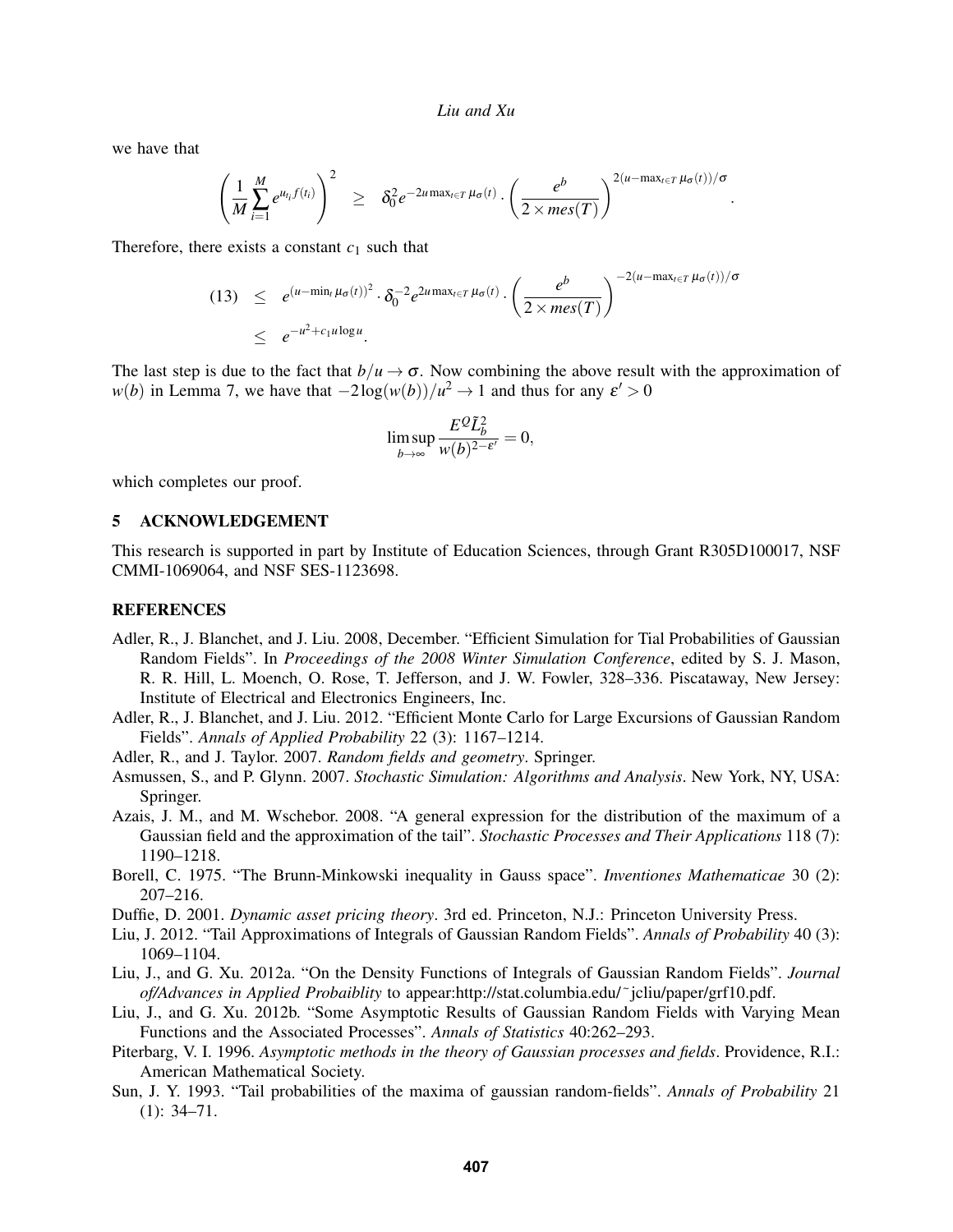we have that

$$
\left(\frac{1}{M}\sum_{i=1}^M e^{u_{t_i}f(t_i)}\right)^2 \geq \delta_0^2 e^{-2u \max_{t \in T} \mu_{\sigma}(t)} \cdot \left(\frac{e^b}{2 \times mes(T)}\right)^{2(u - \max_{t \in T} \mu_{\sigma}(t))/\sigma}.
$$

Therefore, there exists a constant  $c_1$  such that

$$
(13) \leq e^{(u-\min_{t} \mu_{\sigma}(t))^{2}} \cdot \delta_{0}^{-2} e^{2u \max_{t \in T} \mu_{\sigma}(t)} \cdot \left(\frac{e^{b}}{2 \times mes(T)}\right)^{-2(u-\max_{t \in T} \mu_{\sigma}(t))/\sigma}
$$
  

$$
\leq e^{-u^{2}+c_{1}u \log u}.
$$

The last step is due to the fact that  $b/u \to \sigma$ . Now combining the above result with the approximation of *w*(*b*) in Lemma 7, we have that  $-2\log(w(b))/u^2 \to 1$  and thus for any  $\varepsilon' > 0$ 

$$
\limsup_{b \to \infty} \frac{E^{\mathcal{Q}} \tilde{L}_{b}^2}{w(b)^{2-\varepsilon'}} = 0,
$$

which completes our proof.

## 5 ACKNOWLEDGEMENT

This research is supported in part by Institute of Education Sciences, through Grant R305D100017, NSF CMMI-1069064, and NSF SES-1123698.

### **REFERENCES**

- Adler, R., J. Blanchet, and J. Liu. 2008, December. "Efficient Simulation for Tial Probabilities of Gaussian Random Fields". In *Proceedings of the 2008 Winter Simulation Conference*, edited by S. J. Mason, R. R. Hill, L. Moench, O. Rose, T. Jefferson, and J. W. Fowler, 328–336. Piscataway, New Jersey: Institute of Electrical and Electronics Engineers, Inc.
- Adler, R., J. Blanchet, and J. Liu. 2012. "Efficient Monte Carlo for Large Excursions of Gaussian Random Fields". *Annals of Applied Probability* 22 (3): 1167–1214.
- Adler, R., and J. Taylor. 2007. *Random fields and geometry*. Springer.
- Asmussen, S., and P. Glynn. 2007. *Stochastic Simulation: Algorithms and Analysis*. New York, NY, USA: Springer.
- Azais, J. M., and M. Wschebor. 2008. "A general expression for the distribution of the maximum of a Gaussian field and the approximation of the tail". *Stochastic Processes and Their Applications* 118 (7): 1190–1218.
- Borell, C. 1975. "The Brunn-Minkowski inequality in Gauss space". *Inventiones Mathematicae* 30 (2): 207–216.
- Duffie, D. 2001. *Dynamic asset pricing theory*. 3rd ed. Princeton, N.J.: Princeton University Press.
- Liu, J. 2012. "Tail Approximations of Integrals of Gaussian Random Fields". *Annals of Probability* 40 (3): 1069–1104.
- Liu, J., and G. Xu. 2012a. "On the Density Functions of Integrals of Gaussian Random Fields". *Journal of/Advances in Applied Probaiblity* to appear:http://stat.columbia.edu/˜jcliu/paper/grf10.pdf.
- Liu, J., and G. Xu. 2012b. "Some Asymptotic Results of Gaussian Random Fields with Varying Mean Functions and the Associated Processes". *Annals of Statistics* 40:262–293.
- Piterbarg, V. I. 1996. *Asymptotic methods in the theory of Gaussian processes and fields*. Providence, R.I.: American Mathematical Society.
- Sun, J. Y. 1993. "Tail probabilities of the maxima of gaussian random-fields". *Annals of Probability* 21 (1): 34–71.